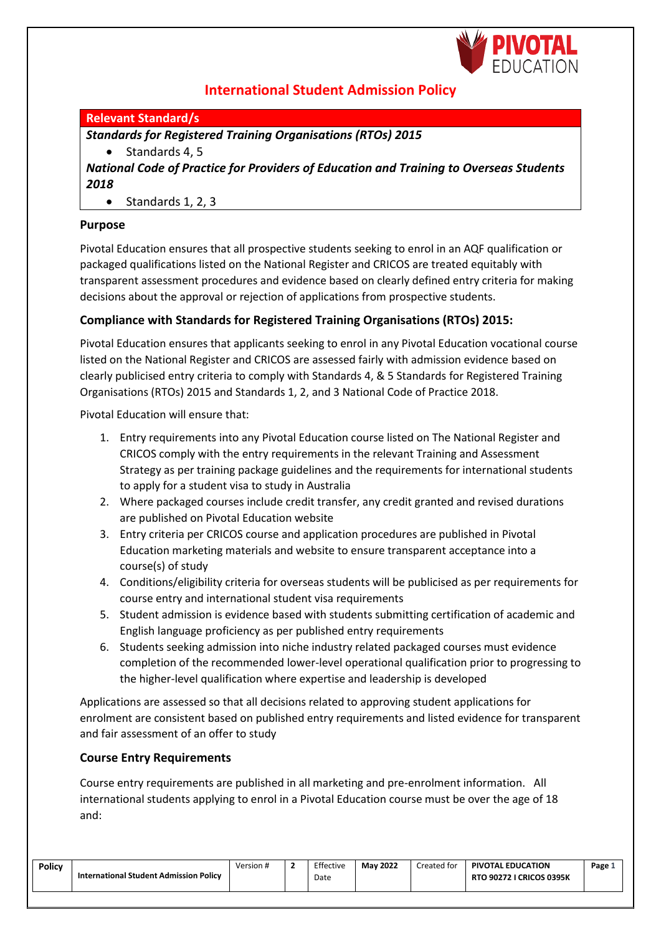

# **International Student Admission Policy**

# **Relevant Standard/s**

*Standards for Registered Training Organisations (RTOs) 2015*

• Standards 4, 5 *National Code of Practice for Providers of Education and Training to Overseas Students 2018*

• Standards 1, 2, 3

# **Purpose**

Pivotal Education ensures that all prospective students seeking to enrol in an AQF qualification or packaged qualifications listed on the National Register and CRICOS are treated equitably with transparent assessment procedures and evidence based on clearly defined entry criteria for making decisions about the approval or rejection of applications from prospective students.

# **Compliance with Standards for Registered Training Organisations (RTOs) 2015:**

Pivotal Education ensures that applicants seeking to enrol in any Pivotal Education vocational course listed on the National Register and CRICOS are assessed fairly with admission evidence based on clearly publicised entry criteria to comply with Standards 4, & 5 Standards for Registered Training Organisations (RTOs) 2015 and Standards 1, 2, and 3 National Code of Practice 2018.

Pivotal Education will ensure that:

- 1. Entry requirements into any Pivotal Education course listed on The National Register and CRICOS comply with the entry requirements in the relevant Training and Assessment Strategy as per training package guidelines and the requirements for international students to apply for a student visa to study in Australia
- 2. Where packaged courses include credit transfer, any credit granted and revised durations are published on Pivotal Education website
- 3. Entry criteria per CRICOS course and application procedures are published in Pivotal Education marketing materials and website to ensure transparent acceptance into a course(s) of study
- 4. Conditions/eligibility criteria for overseas students will be publicised as per requirements for course entry and international student visa requirements
- 5. Student admission is evidence based with students submitting certification of academic and English language proficiency as per published entry requirements
- 6. Students seeking admission into niche industry related packaged courses must evidence completion of the recommended lower-level operational qualification prior to progressing to the higher-level qualification where expertise and leadership is developed

Applications are assessed so that all decisions related to approving student applications for enrolment are consistent based on published entry requirements and listed evidence for transparent and fair assessment of an offer to study

#### **Course Entry Requirements**

Course entry requirements are published in all marketing and pre-enrolment information. All international students applying to enrol in a Pivotal Education course must be over the age of 18 and:

| <b>Policy</b> | International Student Admission Policy | Version # |  | Effective<br>Date | <b>May 2022</b> | Created for | PIVOTAL EDUCATION<br><b>RTO 90272 I CRICOS 0395K</b> | Page $\perp$ |
|---------------|----------------------------------------|-----------|--|-------------------|-----------------|-------------|------------------------------------------------------|--------------|
|---------------|----------------------------------------|-----------|--|-------------------|-----------------|-------------|------------------------------------------------------|--------------|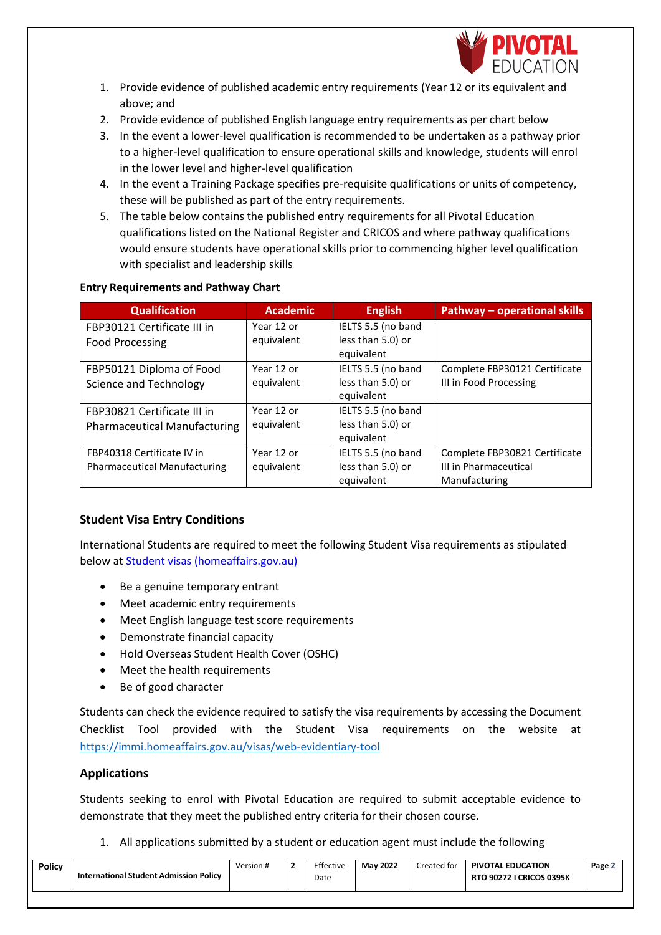

- 1. Provide evidence of published academic entry requirements (Year 12 or its equivalent and above; and
- 2. Provide evidence of published English language entry requirements as per chart below
- 3. In the event a lower-level qualification is recommended to be undertaken as a pathway prior to a higher-level qualification to ensure operational skills and knowledge, students will enrol in the lower level and higher-level qualification
- 4. In the event a Training Package specifies pre-requisite qualifications or units of competency, these will be published as part of the entry requirements.
- 5. The table below contains the published entry requirements for all Pivotal Education qualifications listed on the National Register and CRICOS and where pathway qualifications would ensure students have operational skills prior to commencing higher level qualification with specialist and leadership skills

## **Entry Requirements and Pathway Chart**

| <b>Qualification</b>                | <b>Academic</b> | <b>English</b>     | Pathway - operational skills  |
|-------------------------------------|-----------------|--------------------|-------------------------------|
| FBP30121 Certificate III in         | Year 12 or      | IELTS 5.5 (no band |                               |
| <b>Food Processing</b>              | equivalent      | less than 5.0) or  |                               |
|                                     |                 | equivalent         |                               |
| FBP50121 Diploma of Food            | Year 12 or      | IELTS 5.5 (no band | Complete FBP30121 Certificate |
| <b>Science and Technology</b>       | equivalent      | less than 5.0) or  | III in Food Processing        |
|                                     |                 | equivalent         |                               |
| FBP30821 Certificate III in         | Year 12 or      | IELTS 5.5 (no band |                               |
| <b>Pharmaceutical Manufacturing</b> | equivalent      | less than 5.0) or  |                               |
|                                     |                 | equivalent         |                               |
| FBP40318 Certificate IV in          | Year 12 or      | IELTS 5.5 (no band | Complete FBP30821 Certificate |
| <b>Pharmaceutical Manufacturing</b> | equivalent      | less than 5.0) or  | III in Pharmaceutical         |
|                                     |                 | equivalent         | Manufacturing                 |

# **Student Visa Entry Conditions**

International Students are required to meet the following Student Visa requirements as stipulated below at [Student visas \(homeaffairs.gov.au\)](https://www.homeaffairs.gov.au/covid19/visa-information/international-students/student-visas)

- Be a genuine temporary entrant
- Meet academic entry requirements
- Meet English language test score requirements
- Demonstrate financial capacity
- Hold Overseas Student Health Cover (OSHC)
- Meet the health requirements
- Be of good character

Students can check the evidence required to satisfy the visa requirements by accessing the Document Checklist Tool provided with the Student Visa requirements on the website at <https://immi.homeaffairs.gov.au/visas/web-evidentiary-tool>

#### **Applications**

Students seeking to enrol with Pivotal Education are required to submit acceptable evidence to demonstrate that they meet the published entry criteria for their chosen course.

1. All applications submitted by a student or education agent must include the following

| Policy | International Student Admission Policy | Version |  | Effective<br>Date | <b>May 2022</b> | Created for | <b>PIVOTAL EDUCATION</b><br><b>RTO 90272 I CRICOS 0395K</b> | Page $\angle$ |
|--------|----------------------------------------|---------|--|-------------------|-----------------|-------------|-------------------------------------------------------------|---------------|
|--------|----------------------------------------|---------|--|-------------------|-----------------|-------------|-------------------------------------------------------------|---------------|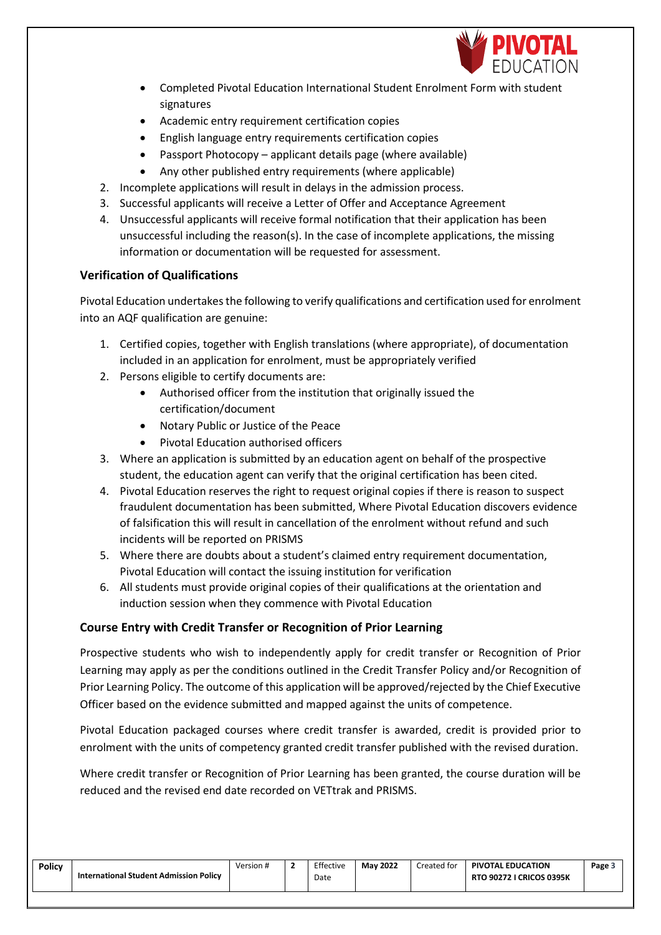

- Completed Pivotal Education International Student Enrolment Form with student signatures
- Academic entry requirement certification copies
- English language entry requirements certification copies
- Passport Photocopy applicant details page (where available)
- Any other published entry requirements (where applicable)
- 2. Incomplete applications will result in delays in the admission process.
- 3. Successful applicants will receive a Letter of Offer and Acceptance Agreement
- 4. Unsuccessful applicants will receive formal notification that their application has been unsuccessful including the reason(s). In the case of incomplete applications, the missing information or documentation will be requested for assessment.

# **Verification of Qualifications**

Pivotal Education undertakes the following to verify qualifications and certification used for enrolment into an AQF qualification are genuine:

- 1. Certified copies, together with English translations (where appropriate), of documentation included in an application for enrolment, must be appropriately verified
- 2. Persons eligible to certify documents are:
	- Authorised officer from the institution that originally issued the certification/document
	- Notary Public or Justice of the Peace
	- Pivotal Education authorised officers
- 3. Where an application is submitted by an education agent on behalf of the prospective student, the education agent can verify that the original certification has been cited.
- 4. Pivotal Education reserves the right to request original copies if there is reason to suspect fraudulent documentation has been submitted, Where Pivotal Education discovers evidence of falsification this will result in cancellation of the enrolment without refund and such incidents will be reported on PRISMS
- 5. Where there are doubts about a student's claimed entry requirement documentation, Pivotal Education will contact the issuing institution for verification
- 6. All students must provide original copies of their qualifications at the orientation and induction session when they commence with Pivotal Education

#### **Course Entry with Credit Transfer or Recognition of Prior Learning**

Prospective students who wish to independently apply for credit transfer or Recognition of Prior Learning may apply as per the conditions outlined in the Credit Transfer Policy and/or Recognition of Prior Learning Policy. The outcome of this application will be approved/rejected by the Chief Executive Officer based on the evidence submitted and mapped against the units of competence.

Pivotal Education packaged courses where credit transfer is awarded, credit is provided prior to enrolment with the units of competency granted credit transfer published with the revised duration.

Where credit transfer or Recognition of Prior Learning has been granted, the course duration will be reduced and the revised end date recorded on VETtrak and PRISMS.

| Policy | International Student Admission Policy | Version # | Effective | <b>May 2022</b> | Created for | <b>PIVOTAL EDUCATION</b>        | Page 5 |
|--------|----------------------------------------|-----------|-----------|-----------------|-------------|---------------------------------|--------|
|        |                                        |           | Date      |                 |             | <b>RTO 90272 I CRICOS 0395K</b> |        |
|        |                                        |           |           |                 |             |                                 |        |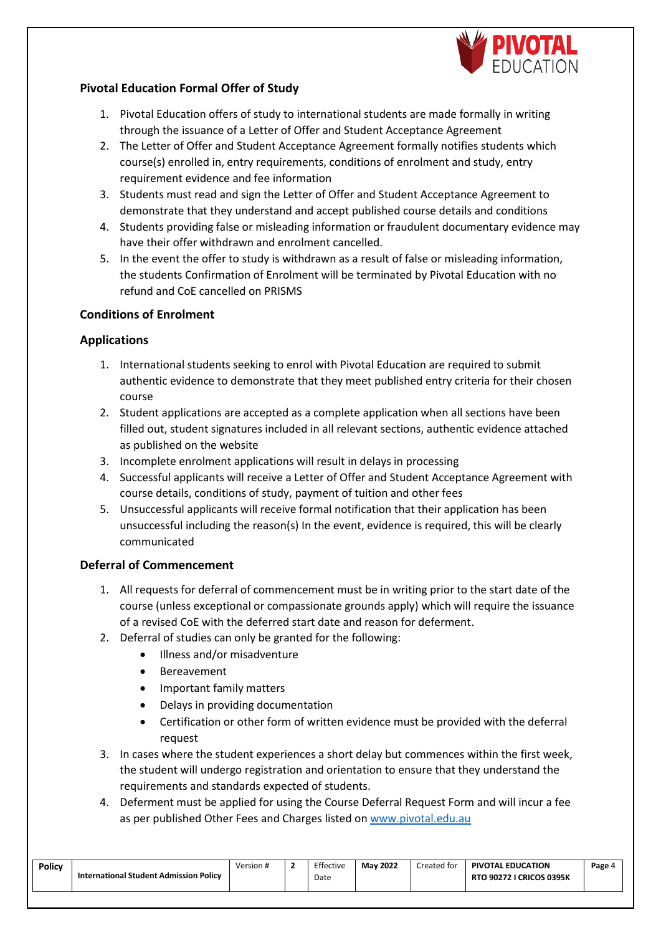

## **Pivotal Education Formal Offer of Study**

- 1. Pivotal Education offers of study to international students are made formally in writing through the issuance of a Letter of Offer and Student Acceptance Agreement
- 2. The Letter of Offer and Student Acceptance Agreement formally notifies students which course(s) enrolled in, entry requirements, conditions of enrolment and study, entry requirement evidence and fee information
- 3. Students must read and sign the Letter of Offer and Student Acceptance Agreement to demonstrate that they understand and accept published course details and conditions
- 4. Students providing false or misleading information or fraudulent documentary evidence may have their offer withdrawn and enrolment cancelled.
- 5. In the event the offer to study is withdrawn as a result of false or misleading information, the students Confirmation of Enrolment will be terminated by Pivotal Education with no refund and CoE cancelled on PRISMS

#### **Conditions of Enrolment**

#### **Applications**

- 1. International students seeking to enrol with Pivotal Education are required to submit authentic evidence to demonstrate that they meet published entry criteria for their chosen course
- 2. Student applications are accepted as a complete application when all sections have been filled out, student signatures included in all relevant sections, authentic evidence attached as published on the website
- 3. Incomplete enrolment applications will result in delays in processing
- 4. Successful applicants will receive a Letter of Offer and Student Acceptance Agreement with course details, conditions of study, payment of tuition and other fees
- 5. Unsuccessful applicants will receive formal notification that their application has been unsuccessful including the reason(s) In the event, evidence is required, this will be clearly communicated

#### **Deferral of Commencement**

- 1. All requests for deferral of commencement must be in writing prior to the start date of the course (unless exceptional or compassionate grounds apply) which will require the issuance of a revised CoE with the deferred start date and reason for deferment.
- 2. Deferral of studies can only be granted for the following:
	- Illness and/or misadventure
	- Bereavement
	- Important family matters
	- Delays in providing documentation
	- Certification or other form of written evidence must be provided with the deferral request
- 3. In cases where the student experiences a short delay but commences within the first week, the student will undergo registration and orientation to ensure that they understand the requirements and standards expected of students.
- 4. Deferment must be applied for using the Course Deferral Request Form and will incur a fee as per published Other Fees and Charges listed o[n www.pivotal.edu.au](http://www.pivotal.edu.au/)

| <b>Policy</b> | International Student Admission Policy | Version # | Effective<br>Date<br>. | <b>May 2022</b> | Created for | <b>PIVOTAL EDUCATION</b><br><b>RTO 90272 I CRICOS 0395K</b> | Page . |
|---------------|----------------------------------------|-----------|------------------------|-----------------|-------------|-------------------------------------------------------------|--------|
|               |                                        |           |                        |                 |             |                                                             |        |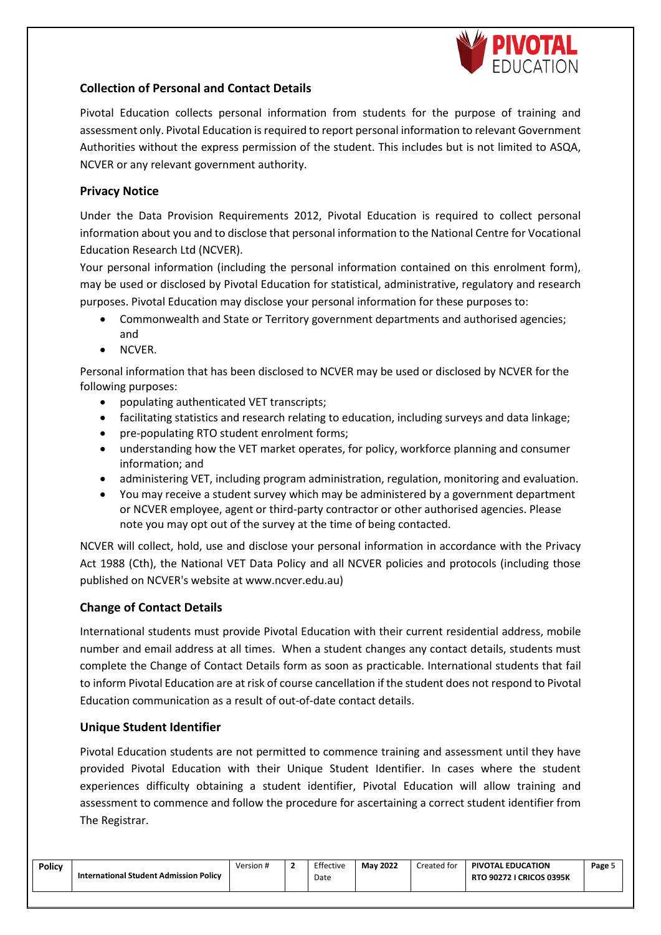

## **Collection of Personal and Contact Details**

Pivotal Education collects personal information from students for the purpose of training and assessment only. Pivotal Education is required to report personal information to relevant Government Authorities without the express permission of the student. This includes but is not limited to ASQA, NCVER or any relevant government authority.

#### **Privacy Notice**

Under the Data Provision Requirements 2012, Pivotal Education is required to collect personal information about you and to disclose that personal information to the National Centre for Vocational Education Research Ltd (NCVER).

Your personal information (including the personal information contained on this enrolment form), may be used or disclosed by Pivotal Education for statistical, administrative, regulatory and research purposes. Pivotal Education may disclose your personal information for these purposes to:

- Commonwealth and State or Territory government departments and authorised agencies; and
- NCVER.

Personal information that has been disclosed to NCVER may be used or disclosed by NCVER for the following purposes:

- populating authenticated VET transcripts;
- facilitating statistics and research relating to education, including surveys and data linkage;
- pre-populating RTO student enrolment forms;
- understanding how the VET market operates, for policy, workforce planning and consumer information; and
- administering VET, including program administration, regulation, monitoring and evaluation.
- You may receive a student survey which may be administered by a government department or NCVER employee, agent or third-party contractor or other authorised agencies. Please note you may opt out of the survey at the time of being contacted.

NCVER will collect, hold, use and disclose your personal information in accordance with the Privacy Act 1988 (Cth), the National VET Data Policy and all NCVER policies and protocols (including those published on NCVER's website at [www.ncver.edu.au\)](http://www.ncver.edu.au/)

#### **Change of Contact Details**

International students must provide Pivotal Education with their current residential address, mobile number and email address at all times. When a student changes any contact details, students must complete the Change of Contact Details form as soon as practicable. International students that fail to inform Pivotal Education are at risk of course cancellation if the student does not respond to Pivotal Education communication as a result of out-of-date contact details.

#### **Unique Student Identifier**

Pivotal Education students are not permitted to commence training and assessment until they have provided Pivotal Education with their Unique Student Identifier. In cases where the student experiences difficulty obtaining a student identifier, Pivotal Education will allow training and assessment to commence and follow the procedure for ascertaining a correct student identifier from The Registrar.

| <b>Policy</b> | International Student Admission Policy | Version # | Effective | <b>May 2022</b> | Created for | <b>PIVOTAL EDUCATION</b>        | Page 5 |
|---------------|----------------------------------------|-----------|-----------|-----------------|-------------|---------------------------------|--------|
|               |                                        |           | Date      |                 |             | <b>RTO 90272 I CRICOS 0395K</b> |        |
|               |                                        |           |           |                 |             |                                 |        |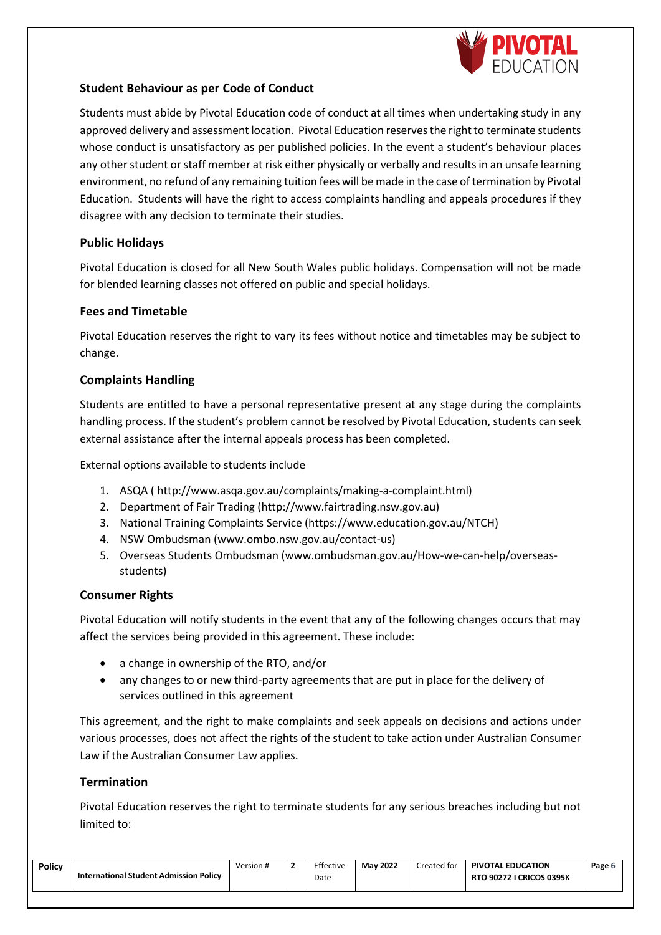

## **Student Behaviour as per Code of Conduct**

Students must abide by Pivotal Education code of conduct at all times when undertaking study in any approved delivery and assessment location. Pivotal Education reserves the right to terminate students whose conduct is unsatisfactory as per published policies. In the event a student's behaviour places any other student or staff member at risk either physically or verbally and results in an unsafe learning environment, no refund of any remaining tuition fees will be made in the case of termination by Pivotal Education. Students will have the right to access complaints handling and appeals procedures if they disagree with any decision to terminate their studies.

#### **Public Holidays**

Pivotal Education is closed for all New South Wales public holidays. Compensation will not be made for blended learning classes not offered on public and special holidays.

#### **Fees and Timetable**

Pivotal Education reserves the right to vary its fees without notice and timetables may be subject to change.

# **Complaints Handling**

Students are entitled to have a personal representative present at any stage during the complaints handling process. If the student's problem cannot be resolved by Pivotal Education, students can seek external assistance after the internal appeals process has been completed.

External options available to students include

- 1. ASQA [\( http://www.asqa.gov.au/complaints/making-a-complaint.html\)](http://www.asqa.gov.au/complaints/making-a-complaint.html)
- 2. Department of Fair Trading [\(http://www.fairtrading.nsw.gov.au\)](http://www.fairtrading.nsw.gov.au/)
- 3. National Training Complaints Service [\(https://www.education.gov.au/NTCH\)](https://www.education.gov.au/NTCH)
- 4. NSW Ombudsman [\(www.ombo.nsw.gov.au/contact-us\)](http://www.ombo.nsw.gov.au/contact-us)
- 5. Overseas Students Ombudsman [\(www.ombudsman.gov.au/How-we-can-help/overseas](http://www.ombudsman.gov.au/How-we-can-help/overseas-students)[students\)](http://www.ombudsman.gov.au/How-we-can-help/overseas-students)

#### **Consumer Rights**

Pivotal Education will notify students in the event that any of the following changes occurs that may affect the services being provided in this agreement. These include:

- a change in ownership of the RTO, and/or
- any changes to or new third-party agreements that are put in place for the delivery of services outlined in this agreement

This agreement, and the right to make complaints and seek appeals on decisions and actions under various processes, does not affect the rights of the student to take action under Australian Consumer Law if the Australian Consumer Law applies.

#### **Termination**

Pivotal Education reserves the right to terminate students for any serious breaches including but not limited to:

| <b>Policy</b> | International Student Admission Policy | Version # | . . | Effective<br>Date | <b>May 2022</b> | Created for | <b>PIVOTAL EDUCATION</b><br><b>RTO 90272 I CRICOS 0395K</b> | Page b |
|---------------|----------------------------------------|-----------|-----|-------------------|-----------------|-------------|-------------------------------------------------------------|--------|
|---------------|----------------------------------------|-----------|-----|-------------------|-----------------|-------------|-------------------------------------------------------------|--------|